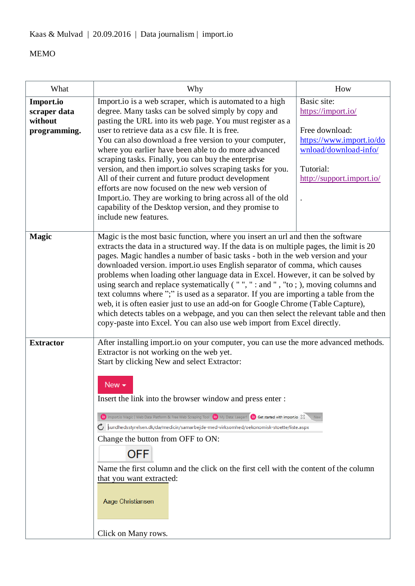| What                                                 | Why                                                                                                                                                                                                                                                                                                                                                                                                                                                                                                                                                                                                                                                                                                                                                                                                                                                                    | How                                                                                                                                                |  |
|------------------------------------------------------|------------------------------------------------------------------------------------------------------------------------------------------------------------------------------------------------------------------------------------------------------------------------------------------------------------------------------------------------------------------------------------------------------------------------------------------------------------------------------------------------------------------------------------------------------------------------------------------------------------------------------------------------------------------------------------------------------------------------------------------------------------------------------------------------------------------------------------------------------------------------|----------------------------------------------------------------------------------------------------------------------------------------------------|--|
| Import.io<br>scraper data<br>without<br>programming. | Import.io is a web scraper, which is automated to a high<br>degree. Many tasks can be solved simply by copy and<br>pasting the URL into its web page. You must register as a<br>user to retrieve data as a csy file. It is free.<br>You can also download a free version to your computer,<br>where you earlier have been able to do more advanced<br>scraping tasks. Finally, you can buy the enterprise<br>version, and then import io solves scraping tasks for you.<br>All of their current and future product development<br>efforts are now focused on the new web version of<br>Import.io. They are working to bring across all of the old<br>capability of the Desktop version, and they promise to<br>include new features.                                                                                                                                   | Basic site:<br>https://import.io/<br>Free download:<br>https://www.import.io/do<br>wnload/download-info/<br>Tutorial:<br>http://support.import.io/ |  |
| <b>Magic</b>                                         | Magic is the most basic function, where you insert an url and then the software<br>extracts the data in a structured way. If the data is on multiple pages, the limit is 20<br>pages. Magic handles a number of basic tasks - both in the web version and your<br>downloaded version. import.io uses English separator of comma, which causes<br>problems when loading other language data in Excel. However, it can be solved by<br>using search and replace systematically ("",": and ", "to; ), moving columns and<br>text columns where ";" is used as a separator. If you are importing a table from the<br>web, it is often easier just to use an add-on for Google Chrome (Table Capture),<br>which detects tables on a webpage, and you can then select the relevant table and then<br>copy-paste into Excel. You can also use web import from Excel directly. |                                                                                                                                                    |  |
| <b>Extractor</b>                                     | After installing import.io on your computer, you can use the more advanced methods.<br>Extractor is not working on the web yet.<br>Start by clicking New and select Extractor:<br>New $\sim$<br>Insert the link into the browser window and press enter :<br>io importio Magic   Web Data Platform & Free Web Scraping Tool   io My Data: Laeger1   io Get started with importio $\boxtimes$<br>$\mathbf C$ sundhedsstyrelsen.dk/da/medicin/samarbejde-med-virksomhed/oekonomisk-stoette/liste.aspx<br>Change the button from OFF to ON:<br><b>OFF</b><br>Name the first column and the click on the first cell with the content of the column<br>that you want extracted:<br>Aage Christiansen<br>Click on Many rows.                                                                                                                                                 |                                                                                                                                                    |  |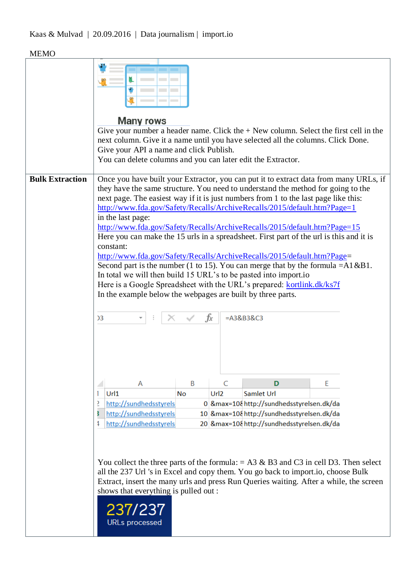# Kaas & Mulvad | 20.09.2016 | Data journalism | import.io

|                        | <b>Many rows</b><br>Give your number a header name. Click the $+$ New column. Select the first cell in the<br>next column. Give it a name until you have selected all the columns. Click Done.<br>Give your API a name and click Publish.<br>You can delete columns and you can later edit the Extractor.                                                                                                                                                                                                                                                                                                                                                                                                                                                                                                                                                                                                                                                                       |    |                       |                                            |   |  |
|------------------------|---------------------------------------------------------------------------------------------------------------------------------------------------------------------------------------------------------------------------------------------------------------------------------------------------------------------------------------------------------------------------------------------------------------------------------------------------------------------------------------------------------------------------------------------------------------------------------------------------------------------------------------------------------------------------------------------------------------------------------------------------------------------------------------------------------------------------------------------------------------------------------------------------------------------------------------------------------------------------------|----|-----------------------|--------------------------------------------|---|--|
| <b>Bulk Extraction</b> | Once you have built your Extractor, you can put it to extract data from many URLs, if<br>they have the same structure. You need to understand the method for going to the<br>next page. The easiest way if it is just numbers from 1 to the last page like this:<br>http://www.fda.gov/Safety/Recalls/ArchiveRecalls/2015/default.htm?Page=1<br>in the last page:<br>http://www.fda.gov/Safety/Recalls/ArchiveRecalls/2015/default.htm?Page=15<br>Here you can make the 15 urls in a spreadsheet. First part of the url is this and it is<br>constant:<br>http://www.fda.gov/Safety/Recalls/ArchiveRecalls/2015/default.htm?Page=<br>Second part is the number (1 to 15). You can merge that by the formula = $A1 & B1$ .<br>In total we will then build 15 URL's to be pasted into importion<br>Here is a Google Spreadsheet with the URL's prepared: kortlink.dk/ks7f<br>In the example below the webpages are built by three parts.<br>fx<br>$= A3&B3&C3$<br>$\overline{)3}$ |    |                       |                                            |   |  |
|                        |                                                                                                                                                                                                                                                                                                                                                                                                                                                                                                                                                                                                                                                                                                                                                                                                                                                                                                                                                                                 |    |                       |                                            |   |  |
|                        | Α<br>Url1                                                                                                                                                                                                                                                                                                                                                                                                                                                                                                                                                                                                                                                                                                                                                                                                                                                                                                                                                                       | B  | C<br>Url <sub>2</sub> | D<br>Samlet Url                            | E |  |
|                        | http://sundhedsstyrels<br>2                                                                                                                                                                                                                                                                                                                                                                                                                                                                                                                                                                                                                                                                                                                                                                                                                                                                                                                                                     | No |                       | 0 & max=10& http://sundhedsstyrelsen.dk/da |   |  |
|                        | http://sundhedsstyrels                                                                                                                                                                                                                                                                                                                                                                                                                                                                                                                                                                                                                                                                                                                                                                                                                                                                                                                                                          |    |                       | 10 &max=10&http://sundhedsstyrelsen.dk/da  |   |  |
|                        | http://sundhedsstyrels                                                                                                                                                                                                                                                                                                                                                                                                                                                                                                                                                                                                                                                                                                                                                                                                                                                                                                                                                          |    |                       | 20 &max=10&http://sundhedsstyrelsen.dk/da  |   |  |
|                        | You collect the three parts of the formula: $= A3 \& B3$ and C3 in cell D3. Then select<br>all the 237 Url 's in Excel and copy them. You go back to import.io, choose Bulk<br>Extract, insert the many urls and press Run Queries waiting. After a while, the screen<br>shows that everything is pulled out :<br>237/237<br><b>URLs</b> processed                                                                                                                                                                                                                                                                                                                                                                                                                                                                                                                                                                                                                              |    |                       |                                            |   |  |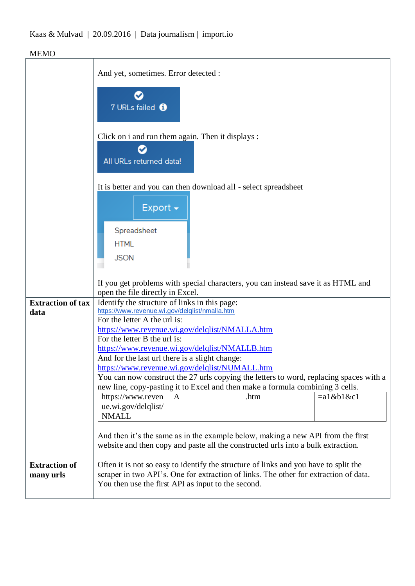# Kaas & Mulvad | 20.09.2016 | Data journalism | import.io

|                                   | And yet, sometimes. Error detected :                                                                                                                                                                                               |   |      |              |
|-----------------------------------|------------------------------------------------------------------------------------------------------------------------------------------------------------------------------------------------------------------------------------|---|------|--------------|
|                                   | 7 URLs failed <sup>6</sup>                                                                                                                                                                                                         |   |      |              |
|                                   | Click on i and run them again. Then it displays :<br>All URLs returned data!                                                                                                                                                       |   |      |              |
|                                   | It is better and you can then download all - select spreadsheet<br>Export $\sim$<br>Spreadsheet<br><b>HTML</b><br><b>JSON</b>                                                                                                      |   |      |              |
|                                   |                                                                                                                                                                                                                                    |   |      |              |
|                                   | If you get problems with special characters, you can instead save it as HTML and<br>open the file directly in Excel.                                                                                                               |   |      |              |
| <b>Extraction of tax</b>          | Identify the structure of links in this page:                                                                                                                                                                                      |   |      |              |
| data                              | https://www.revenue.wi.gov/delqlist/nmalla.htm                                                                                                                                                                                     |   |      |              |
|                                   | For the letter A the url is:                                                                                                                                                                                                       |   |      |              |
|                                   | https://www.revenue.wi.gov/delqlist/NMALLA.htm                                                                                                                                                                                     |   |      |              |
|                                   | For the letter B the url is:<br>https://www.revenue.wi.gov/delqlist/NMALLB.htm                                                                                                                                                     |   |      |              |
|                                   | And for the last url there is a slight change:                                                                                                                                                                                     |   |      |              |
|                                   |                                                                                                                                                                                                                                    |   |      |              |
|                                   | https://www.revenue.wi.gov/delqlist/NUMALL.htm<br>You can now construct the 27 urls copying the letters to word, replacing spaces with a                                                                                           |   |      |              |
|                                   | new line, copy-pasting it to Excel and then make a formula combining 3 cells.                                                                                                                                                      |   |      |              |
|                                   | https://www.reven<br>ue.wi.gov/delqlist/<br><b>NMALL</b>                                                                                                                                                                           | A | .htm | $=a1$ &b1&c1 |
|                                   | And then it's the same as in the example below, making a new API from the first<br>website and then copy and paste all the constructed urls into a bulk extraction.                                                                |   |      |              |
| <b>Extraction of</b><br>many urls | Often it is not so easy to identify the structure of links and you have to split the<br>scraper in two API's. One for extraction of links. The other for extraction of data.<br>You then use the first API as input to the second. |   |      |              |